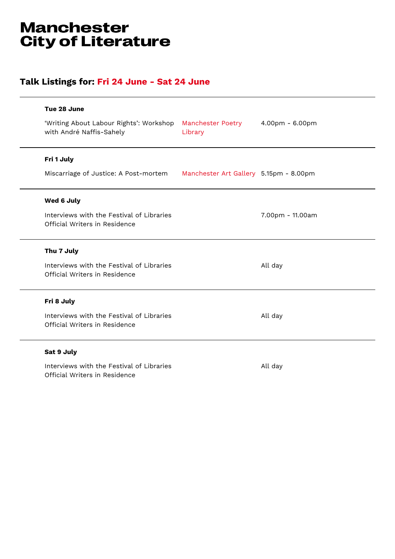## **Manchester City of Literature**

## **Talk Listings for: Fri 24 June - Sat 24 June**

| Tue 28 June                                                                |                                        |                  |
|----------------------------------------------------------------------------|----------------------------------------|------------------|
| 'Writing About Labour Rights': Workshop<br>with André Naffis-Sahely        | <b>Manchester Poetry</b><br>Library    | 4.00pm - 6.00pm  |
| Fri 1 July                                                                 |                                        |                  |
| Miscarriage of Justice: A Post-mortem                                      | Manchester Art Gallery 5.15pm - 8.00pm |                  |
| Wed 6 July                                                                 |                                        |                  |
| Interviews with the Festival of Libraries<br>Official Writers in Residence |                                        | 7.00pm - 11.00am |
| Thu 7 July                                                                 |                                        |                  |
| Interviews with the Festival of Libraries<br>Official Writers in Residence |                                        | All day          |
| Fri 8 July                                                                 |                                        |                  |
| Interviews with the Festival of Libraries<br>Official Writers in Residence |                                        | All day          |
| Sat 9 July                                                                 |                                        |                  |
| Interviews with the Festival of Libraries<br>Official Writers in Residence |                                        | All day          |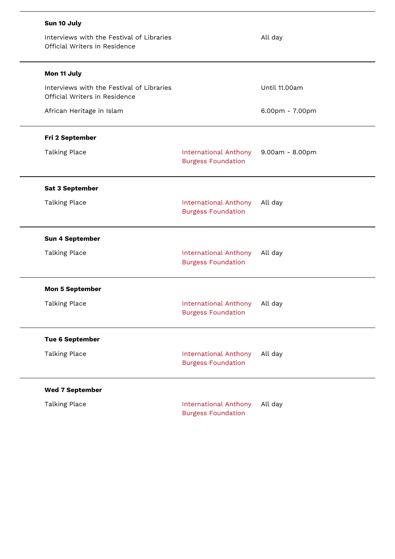| Sun 10 July                                                                |                                                           |                 |
|----------------------------------------------------------------------------|-----------------------------------------------------------|-----------------|
| Interviews with the Festival of Libraries<br>Official Writers in Residence |                                                           | All day         |
| Mon 11 July                                                                |                                                           |                 |
| Interviews with the Festival of Libraries<br>Official Writers in Residence |                                                           | Until 11.00am   |
| African Heritage in Islam                                                  |                                                           | 6.00pm - 7.00pm |
| Fri 2 September                                                            |                                                           |                 |
| <b>Talking Place</b>                                                       | <b>International Anthony</b><br><b>Burgess Foundation</b> | 9.00am - 8.00pm |
| <b>Sat 3 September</b>                                                     |                                                           |                 |
| <b>Talking Place</b>                                                       | <b>International Anthony</b><br><b>Burgess Foundation</b> | All day         |
| <b>Sun 4 September</b>                                                     |                                                           |                 |
| <b>Talking Place</b>                                                       | <b>International Anthony</b><br><b>Burgess Foundation</b> | All day         |
| <b>Mon 5 September</b>                                                     |                                                           |                 |
| <b>Talking Place</b>                                                       | <b>International Anthony</b><br><b>Burgess Foundation</b> | All day         |
| <b>Tue 6 September</b>                                                     |                                                           |                 |
| <b>Talking Place</b>                                                       | <b>International Anthony</b><br><b>Burgess Foundation</b> | All day         |
| <b>Wed 7 September</b>                                                     |                                                           |                 |
| <b>Talking Place</b>                                                       | <b>International Anthony</b><br><b>Burgess Foundation</b> | All day         |